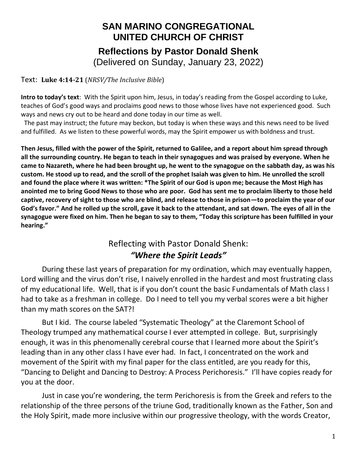## **SAN MARINO CONGREGATIONAL UNITED CHURCH OF CHRIST Reflections by Pastor Donald Shenk** (Delivered on Sunday, January 23, 2022)

Text: **Luke 4:14-21** (*NRSV/The Inclusive Bible*)

**Intro to today's text**: With the Spirit upon him, Jesus, in today's reading from the Gospel according to Luke, teaches of God's good ways and proclaims good news to those whose lives have not experienced good. Such ways and news cry out to be heard and done today in our time as well.

 The past may instruct; the future may beckon, but today is when these ways and this news need to be lived and fulfilled. As we listen to these powerful words, may the Spirit empower us with boldness and trust.

**Then Jesus, filled with the power of the Spirit, returned to Galilee, and a report about him spread through all the surrounding country. He began to teach in their synagogues and was praised by everyone. When he came to Nazareth, where he had been brought up, he went to the synagogue on the sabbath day, as was his custom. He stood up to read, and the scroll of the prophet Isaiah was given to him. He unrolled the scroll and found the place where it was written: \*The Spirit of our God is upon me; because the Most High has anointed me to bring Good News to those who are poor. God has sent me to proclaim liberty to those held captive, recovery of sight to those who are blind, and release to those in prison—to proclaim the year of our God's favor." And he rolled up the scroll, gave it back to the attendant, and sat down. The eyes of all in the synagogue were fixed on him. Then he began to say to them, "Today this scripture has been fulfilled in your hearing."**

## Reflecting with Pastor Donald Shenk: *"Where the Spirit Leads"*

During these last years of preparation for my ordination, which may eventually happen, Lord willing and the virus don't rise, I naively enrolled in the hardest and most frustrating class of my educational life. Well, that is if you don't count the basic Fundamentals of Math class I had to take as a freshman in college. Do I need to tell you my verbal scores were a bit higher than my math scores on the SAT?!

But I kid. The course labeled "Systematic Theology" at the Claremont School of Theology trumped any mathematical course I ever attempted in college. But, surprisingly enough, it was in this phenomenally cerebral course that I learned more about the Spirit's leading than in any other class I have ever had. In fact, I concentrated on the work and movement of the Spirit with my final paper for the class entitled, are you ready for this, "Dancing to Delight and Dancing to Destroy: A Process Perichoresis." I'll have copies ready for you at the door.

Just in case you're wondering, the term Perichoresis is from the Greek and refers to the relationship of the three persons of the triune God, traditionally known as the Father, Son and the Holy Spirit, made more inclusive within our progressive theology, with the words Creator,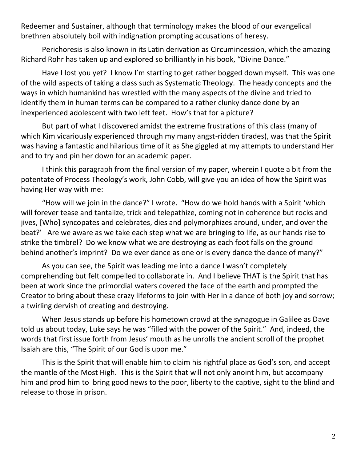Redeemer and Sustainer, although that terminology makes the blood of our evangelical brethren absolutely boil with indignation prompting accusations of heresy.

Perichoresis is also known in its Latin derivation as Circumincession, which the amazing Richard Rohr has taken up and explored so brilliantly in his book, "Divine Dance."

Have I lost you yet? I know I'm starting to get rather bogged down myself. This was one of the wild aspects of taking a class such as Systematic Theology. The heady concepts and the ways in which humankind has wrestled with the many aspects of the divine and tried to identify them in human terms can be compared to a rather clunky dance done by an inexperienced adolescent with two left feet. How's that for a picture?

But part of what I discovered amidst the extreme frustrations of this class (many of which Kim vicariously experienced through my many angst-ridden tirades), was that the Spirit was having a fantastic and hilarious time of it as She giggled at my attempts to understand Her and to try and pin her down for an academic paper.

I think this paragraph from the final version of my paper, wherein I quote a bit from the potentate of Process Theology's work, John Cobb, will give you an idea of how the Spirit was having Her way with me:

"How will we join in the dance?" I wrote. "How do we hold hands with a Spirit 'which will forever tease and tantalize, trick and telepathize, coming not in coherence but rocks and jives, [Who] syncopates and celebrates, dies and polymorphizes around, under, and over the beat?' Are we aware as we take each step what we are bringing to life, as our hands rise to strike the timbrel? Do we know what we are destroying as each foot falls on the ground behind another's imprint? Do we ever dance as one or is every dance the dance of many?"

As you can see, the Spirit was leading me into a dance I wasn't completely comprehending but felt compelled to collaborate in. And I believe THAT is the Spirit that has been at work since the primordial waters covered the face of the earth and prompted the Creator to bring about these crazy lifeforms to join with Her in a dance of both joy and sorrow; a twirling dervish of creating and destroying.

When Jesus stands up before his hometown crowd at the synagogue in Galilee as Dave told us about today, Luke says he was "filled with the power of the Spirit." And, indeed, the words that first issue forth from Jesus' mouth as he unrolls the ancient scroll of the prophet Isaiah are this, "The Spirit of our God is upon me."

This is the Spirit that will enable him to claim his rightful place as God's son, and accept the mantle of the Most High. This is the Spirit that will not only anoint him, but accompany him and prod him to bring good news to the poor, liberty to the captive, sight to the blind and release to those in prison.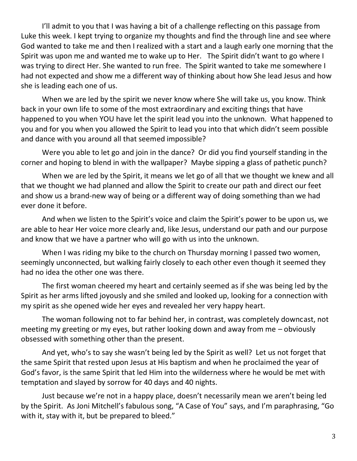I'll admit to you that I was having a bit of a challenge reflecting on this passage from Luke this week. I kept trying to organize my thoughts and find the through line and see where God wanted to take me and then I realized with a start and a laugh early one morning that the Spirit was upon me and wanted me to wake up to Her. The Spirit didn't want to go where I was trying to direct Her. She wanted to run free. The Spirit wanted to take me somewhere I had not expected and show me a different way of thinking about how She lead Jesus and how she is leading each one of us.

When we are led by the spirit we never know where She will take us, you know. Think back in your own life to some of the most extraordinary and exciting things that have happened to you when YOU have let the spirit lead you into the unknown. What happened to you and for you when you allowed the Spirit to lead you into that which didn't seem possible and dance with you around all that seemed impossible?

Were you able to let go and join in the dance? Or did you find yourself standing in the corner and hoping to blend in with the wallpaper? Maybe sipping a glass of pathetic punch?

When we are led by the Spirit, it means we let go of all that we thought we knew and all that we thought we had planned and allow the Spirit to create our path and direct our feet and show us a brand-new way of being or a different way of doing something than we had ever done it before.

And when we listen to the Spirit's voice and claim the Spirit's power to be upon us, we are able to hear Her voice more clearly and, like Jesus, understand our path and our purpose and know that we have a partner who will go with us into the unknown.

When I was riding my bike to the church on Thursday morning I passed two women, seemingly unconnected, but walking fairly closely to each other even though it seemed they had no idea the other one was there.

The first woman cheered my heart and certainly seemed as if she was being led by the Spirit as her arms lifted joyously and she smiled and looked up, looking for a connection with my spirit as she opened wide her eyes and revealed her very happy heart.

The woman following not to far behind her, in contrast, was completely downcast, not meeting my greeting or my eyes, but rather looking down and away from me – obviously obsessed with something other than the present.

And yet, who's to say she wasn't being led by the Spirit as well? Let us not forget that the same Spirit that rested upon Jesus at His baptism and when he proclaimed the year of God's favor, is the same Spirit that led Him into the wilderness where he would be met with temptation and slayed by sorrow for 40 days and 40 nights.

Just because we're not in a happy place, doesn't necessarily mean we aren't being led by the Spirit. As Joni Mitchell's fabulous song, "A Case of You" says, and I'm paraphrasing, "Go with it, stay with it, but be prepared to bleed."